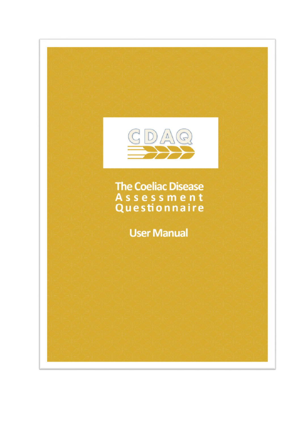

**The Coeliac Disease** Assessment<br>Questionnaire

**User Manual**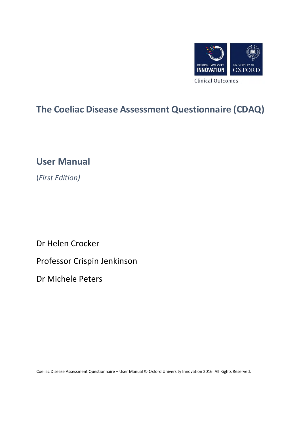

## **The Coeliac Disease Assessment Questionnaire (CDAQ)**

**User Manual** 

(*First Edition)* 

Dr Helen Crocker

Professor Crispin Jenkinson

Dr Michele Peters

Coeliac Disease Assessment Questionnaire – User Manual © Oxford University Innovation 2016. All Rights Reserved.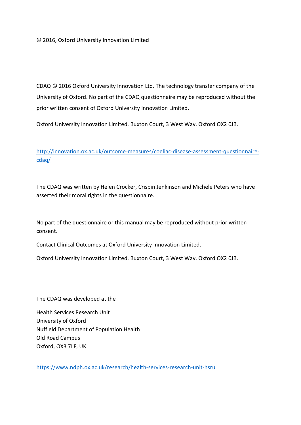CDAQ © 2016 Oxford University Innovation Ltd. The technology transfer company of the University of Oxford. No part of the CDAQ questionnaire may be reproduced without the prior written consent of Oxford University Innovation Limited.

Oxford University Innovation Limited, Buxton Court, 3 West Way, Oxford OX2 0JB.

http://innovation.ox.ac.uk/outcome-measures/coeliac-disease-assessment-questionnairecdaq/

The CDAQ was written by Helen Crocker, Crispin Jenkinson and Michele Peters who have asserted their moral rights in the questionnaire.

No part of the questionnaire or this manual may be reproduced without prior written consent.

Contact Clinical Outcomes at Oxford University Innovation Limited.

Oxford University Innovation Limited, Buxton Court, 3 West Way, Oxford OX2 0JB.

The CDAQ was developed at the

Health Services Research Unit University of Oxford Nuffield Department of Population Health Old Road Campus Oxford, OX3 7LF, UK

https://www.ndph.ox.ac.uk/research/health-services-research-unit-hsru